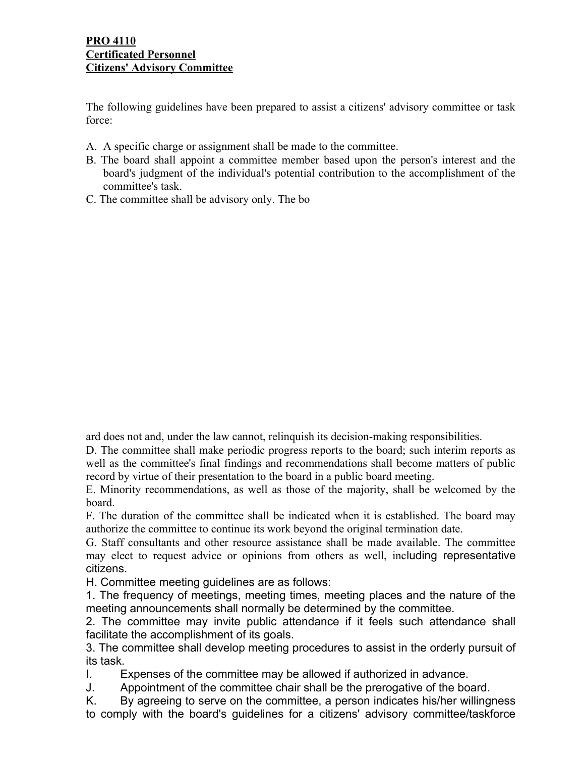The following guidelines have been prepared to assist a citizens' advisory committee or task force:

- A. A specific charge or assignment shall be made to the committee.
- B. The board shall appoint a committee member based upon the person's interest and the board's judgment of the individual's potential contribution to the accomplishment of the committee's task.
- C. The committee shall be advisory only. The bo

ard does not and, under the law cannot, relinquish its decision-making responsibilities.

D. The committee shall make periodic progress reports to the board; such interim reports as well as the committee's final findings and recommendations shall become matters of public record by virtue of their presentation to the board in a public board meeting.

E. Minority recommendations, as well as those of the majority, shall be welcomed by the board.

F. The duration of the committee shall be indicated when it is established. The board may authorize the committee to continue its work beyond the original termination date.

G. Staff consultants and other resource assistance shall be made available. The committee may elect to request advice or opinions from others as well, including representative citizens.

H. Committee meeting guidelines are as follows:

1. The frequency of meetings, meeting times, meeting places and the nature of the meeting announcements shall normally be determined by the committee.

2. The committee may invite public attendance if it feels such attendance shall facilitate the accomplishment of its goals.

3. The committee shall develop meeting procedures to assist in the orderly pursuit of its task.

I. Expenses of the committee may be allowed if authorized in advance.

J. Appointment of the committee chair shall be the prerogative of the board.

K. By agreeing to serve on the committee, a person indicates his/her willingness to comply with the board's guidelines for a citizens' advisory committee/taskforce